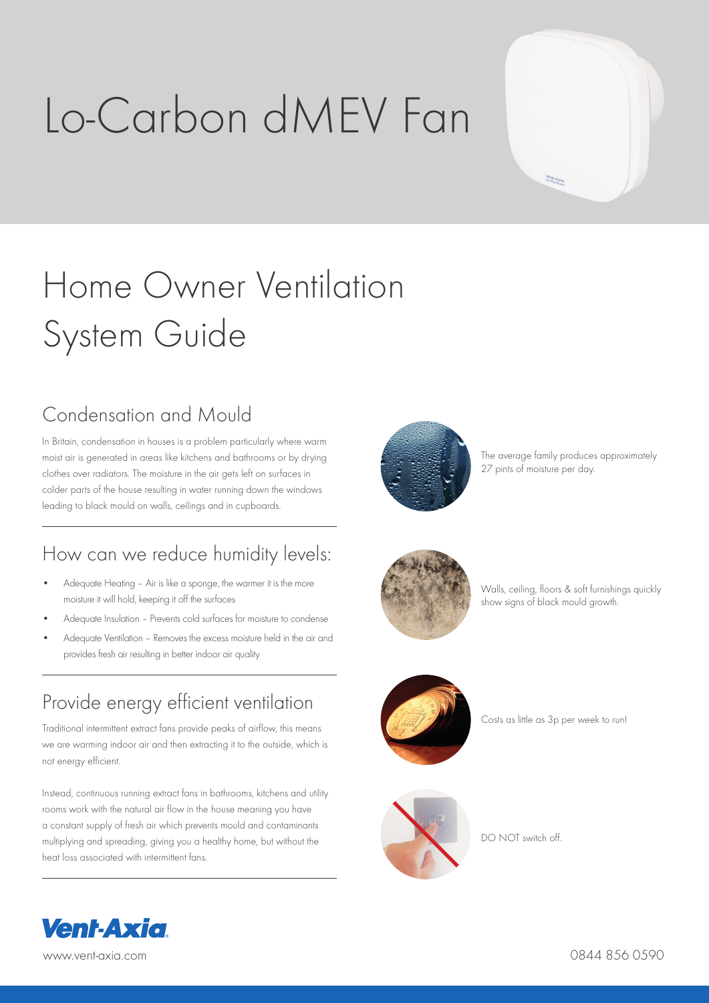# Lo-Carbon dMEV Fan



# Home Owner Ventilation System Guide

## Condensation and Mould

In Britain, condensation in houses is a problem particularly where warm moist air is generated in areas like kitchens and bathrooms or by drying clothes over radiators. The moisture in the air gets left on surfaces in colder parts of the house resulting in water running down the windows leading to black mould on walls, ceilings and in cupboards.

### How can we reduce humidity levels:

- Adequate Heating Air is like a sponge, the warmer it is the more moisture it will hold, keeping it off the surfaces
- Adequate Insulation Prevents cold surfaces for moisture to condense
- Adequate Ventilation Removes the excess moisture held in the air and provides fresh air resulting in better indoor air quality

### Provide energy efficient ventilation

Traditional intermittent extract fans provide peaks of airflow, this means we are warming indoor air and then extracting it to the outside, which is not energy efficient.

Instead, continuous running extract fans in bathrooms, kitchens and utility rooms work with the natural air flow in the house meaning you have a constant supply of fresh air which prevents mould and contaminants multiplying and spreading, giving you a healthy home, but without the heat loss associated with intermittent fans.



The average family produces approximately 27 pints of moisture per day.



Walls, ceiling, floors & soft furnishings quickly show signs of black mould growth.



Costs as little as 3p per week to run!



DO NOT switch off.